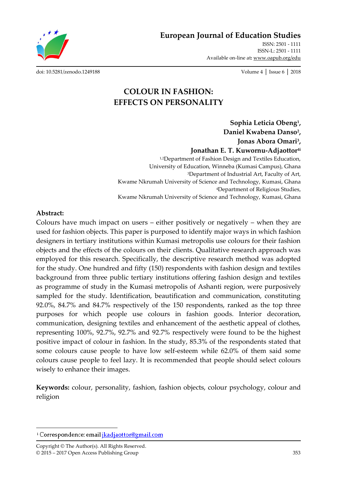**European Journal of Education Studies**

ISSN: 2501 - 1111 ISSN-L: 2501 - 1111 Available on-line at**:** www.oapub.org/edu

[doi: 10.5281/zenodo.1249188](http://dx.doi.org/10.5281/zenodo.1249188) Volume 4 │ Issue 6 │ 2018

# **COLOUR IN FASHION: EFFECTS ON PERSONALITY**

**Sophia Leticia Obeng<sup>1</sup> , Daniel Kwabena Danso<sup>2</sup> , Jonas Abora Omari<sup>3</sup> , Jonathan E. T. Kuwornu-Adjaottor4i** 1,2Department of Fashion Design and Textiles Education, University of Education, Winneba (Kumasi Campus), Ghana <sup>3</sup>Department of Industrial Art, Faculty of Art, Kwame Nkrumah University of Science and Technology, Kumasi, Ghana <sup>4</sup>Department of Religious Studies, Kwame Nkrumah University of Science and Technology, Kumasi, Ghana

#### **Abstract:**

 $\overline{\phantom{a}}$ 

Colours have much impact on users – either positively or negatively – when they are used for fashion objects. This paper is purposed to identify major ways in which fashion designers in tertiary institutions within Kumasi metropolis use colours for their fashion objects and the effects of the colours on their clients. Qualitative research approach was employed for this research. Specifically, the descriptive research method was adopted for the study. One hundred and fifty (150) respondents with fashion design and textiles background from three public tertiary institutions offering fashion design and textiles as programme of study in the Kumasi metropolis of Ashanti region, were purposively sampled for the study. Identification, beautification and communication, constituting 92.0%, 84.7% and 84.7% respectively of the 150 respondents, ranked as the top three purposes for which people use colours in fashion goods. Interior decoration, communication, designing textiles and enhancement of the aesthetic appeal of clothes, representing 100%, 92.7%, 92.7% and 92.7% respectively were found to be the highest positive impact of colour in fashion. In the study, 85.3% of the respondents stated that some colours cause people to have low self-esteem while 62.0% of them said some colours cause people to feel lazy. It is recommended that people should select colours wisely to enhance their images.

**Keywords:** colour, personality, fashion, fashion objects, colour psychology, colour and religion

<sup>&</sup>lt;sup>i</sup> Correspondence: email *jkadjaottor@gmail.com*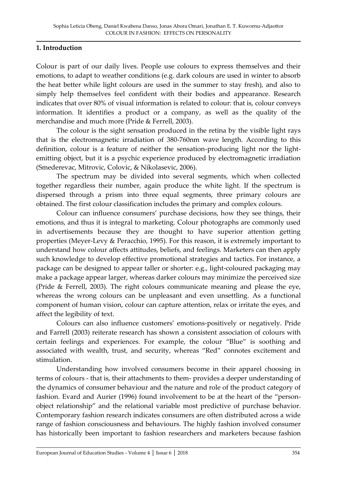#### **1. Introduction**

Colour is part of our daily lives. People use colours to express themselves and their emotions, to adapt to weather conditions (e.g. dark colours are used in winter to absorb the heat better while light colours are used in the summer to stay fresh), and also to simply help themselves feel confident with their bodies and appearance. Research indicates that over 80% of visual information is related to colour: that is, colour conveys information. It identifies a product or a company, as well as the quality of the merchandise and much more (Pride & Ferrell, 2003).

The colour is the sight sensation produced in the retina by the visible light rays that is the electromagnetic irradiation of 380-760nm wave length. According to this definition, colour is a feature of neither the sensation-producing light nor the lightemitting object, but it is a psychic experience produced by electromagnetic irradiation (Smederevac, Mitrovic, Colovic, & Nikolasevic, 2006).

The spectrum may be divided into several segments, which when collected together regardless their number, again produce the white light. If the spectrum is dispersed through a prism into three equal segments, three primary colours are obtained. The first colour classification includes the primary and complex colours.

Colour can influence consumers' purchase decisions, how they see things, their emotions, and thus it is integral to marketing. Colour photographs are commonly used in advertisements because they are thought to have superior attention getting properties (Meyer-Levy & Peracchio, 1995). For this reason, it is extremely important to understand how colour affects attitudes, beliefs, and feelings. Marketers can then apply such knowledge to develop effective promotional strategies and tactics. For instance, a package can be designed to appear taller or shorter: e.g., light-coloured packaging may make a package appear larger, whereas darker colours may minimize the perceived size (Pride & Ferrell, 2003). The right colours communicate meaning and please the eye, whereas the wrong colours can be unpleasant and even unsettling. As a functional component of human vision, colour can capture attention, relax or irritate the eyes, and affect the legibility of text.

Colours can also influence customers' emotions-positively or negatively. Pride and Farrell (2003) reiterate research has shown a consistent association of colours with certain feelings and experiences. For example, the colour 'Blue' is soothing and associated with wealth, trust, and security, whereas 'Red' connotes excitement and stimulation.

Understanding how involved consumers become in their apparel choosing in terms of colours - that is, their attachments to them- provides a deeper understanding of the dynamics of consumer behaviour and the nature and role of the product category of fashion. Evard and Aurier (1996) found involvement to be at the heart of the 'personobject relationship' and the relational variable most predictive of purchase behavior. Contemporary fashion research indicates consumers are often distributed across a wide range of fashion consciousness and behaviours. The highly fashion involved consumer has historically been important to fashion researchers and marketers because fashion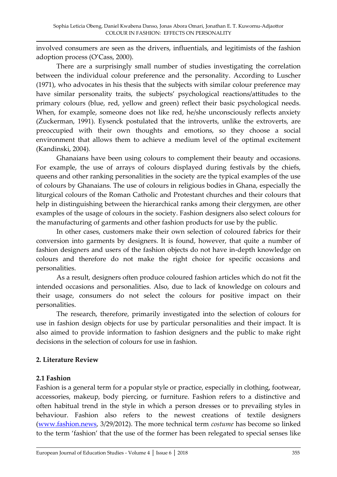involved consumers are seen as the drivers, influentials, and legitimists of the fashion adoption process (O'Cass, 2000).

There are a surprisingly small number of studies investigating the correlation between the individual colour preference and the personality. According to Luscher (1971), who advocates in his thesis that the subjects with similar colour preference may have similar personality traits, the subjects' psychological reactions/attitudes to the primary colours (blue, red, yellow and green) reflect their basic psychological needs. When, for example, someone does not like red, he/she unconsciously reflects anxiety (Zuckerman, 1991). Eysenck postulated that the introverts, unlike the extroverts, are preoccupied with their own thoughts and emotions, so they choose a social environment that allows them to achieve a medium level of the optimal excitement (Kandinski, 2004).

Ghanaians have been using colours to complement their beauty and occasions. For example, the use of arrays of colours displayed during festivals by the chiefs, queens and other ranking personalities in the society are the typical examples of the use of colours by Ghanaians. The use of colours in religious bodies in Ghana, especially the liturgical colours of the Roman Catholic and Protestant churches and their colours that help in distinguishing between the hierarchical ranks among their clergymen, are other examples of the usage of colours in the society. Fashion designers also select colours for the manufacturing of garments and other fashion products for use by the public.

In other cases, customers make their own selection of coloured fabrics for their conversion into garments by designers. It is found, however, that quite a number of fashion designers and users of the fashion objects do not have in-depth knowledge on colours and therefore do not make the right choice for specific occasions and personalities.

As a result, designers often produce coloured fashion articles which do not fit the intended occasions and personalities. Also, due to lack of knowledge on colours and their usage, consumers do not select the colours for positive impact on their personalities.

The research, therefore, primarily investigated into the selection of colours for use in fashion design objects for use by particular personalities and their impact. It is also aimed to provide information to fashion designers and the public to make right decisions in the selection of colours for use in fashion.

# **2. Literature Review**

# **2.1 Fashion**

Fashion is a general term for a popular style or practice, especially in clothing, footwear, accessories, makeup, body piercing, or furniture. Fashion refers to a distinctive and often habitual trend in the style in which a person dresses or to prevailing styles in behaviour. Fashion also refers to the newest creations of textile designers [\(www.fashion.news,](http://www.fashion.news/) 3/29/2012). The more technical term *costume* has become so linked to the term 'fashion' that the use of the former has been relegated to special senses like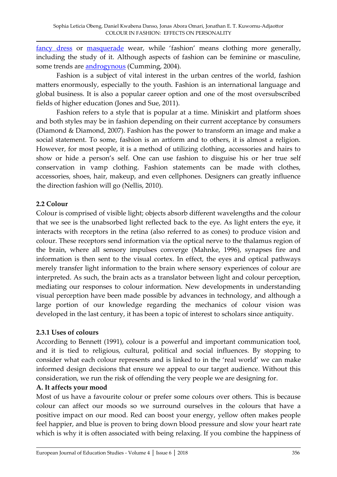[fancy dress](http://en.wikipedia.org/wiki/Costume_party) or [masquerade](http://en.wikipedia.org/wiki/Masquerade_ball) wear, while 'fashion' means clothing more generally, including the study of it. Although aspects of fashion can be feminine or masculine, some trends are **androgynous** (Cumming, 2004).

Fashion is a subject of vital interest in the urban centres of the world, fashion matters enormously, especially to the youth. Fashion is an international language and global business. It is also a popular career option and one of the most oversubscribed fields of higher education (Jones and Sue, 2011).

Fashion refers to a style that is popular at a time. Miniskirt and platform shoes and both styles may be in fashion depending on their current acceptance by consumers (Diamond & Diamond, 2007). Fashion has the power to transform an image and make a social statement. To some, fashion is an artform and to others, it is almost a religion. However, for most people, it is a method of utilizing clothing, accessories and hairs to show or hide a person's self. One can use fashion to disguise his or her true self conservation in vamp clothing. Fashion statements can be made with clothes, accessories, shoes, hair, makeup, and even cellphones. Designers can greatly influence the direction fashion will go (Nellis, 2010).

# **2.2 Colour**

Colour is comprised of visible light; objects absorb different wavelengths and the colour that we see is the unabsorbed light reflected back to the eye. As light enters the eye, it interacts with receptors in the retina (also referred to as cones) to produce vision and colour. These receptors send information via the optical nerve to the thalamus region of the brain, where all sensory impulses converge (Mahnke, 1996), synapses fire and information is then sent to the visual cortex. In effect, the eyes and optical pathways merely transfer light information to the brain where sensory experiences of colour are interpreted. As such, the brain acts as a translator between light and colour perception, mediating our responses to colour information. New developments in understanding visual perception have been made possible by advances in technology, and although a large portion of our knowledge regarding the mechanics of colour vision was developed in the last century, it has been a topic of interest to scholars since antiquity.

#### **2.3.1 Uses of colours**

According to Bennett (1991), colour is a powerful and important communication tool, and it is tied to religious, cultural, political and social influences. By stopping to consider what each colour represents and is linked to in the 'real world' we can make informed design decisions that ensure we appeal to our target audience. Without this consideration, we run the risk of offending the very people we are designing for.

#### **A. It affects your mood**

Most of us have a favourite colour or prefer some colours over others. This is because colour can affect our moods so we surround ourselves in the colours that have a positive impact on our mood. Red can boost your energy, yellow often makes people feel happier, and blue is proven to bring down blood pressure and slow your heart rate which is why it is often associated with being relaxing. If you combine the happiness of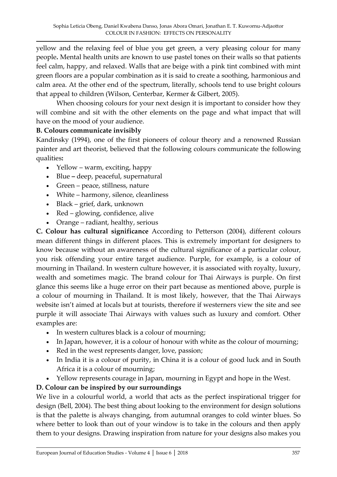yellow and the relaxing feel of blue you get green, a very pleasing colour for many people**.** Mental health units are known to use pastel tones on their walls so that patients feel calm, happy, and relaxed. Walls that are beige with a pink tint combined with mint green floors are a popular combination as it is said to create a soothing, harmonious and calm area. At the other end of the spectrum, literally, schools tend to use bright colours that appeal to children (Wilson, Centerbar, Kermer & Gilbert, 2005).

When choosing colours for your next design it is important to consider how they will combine and sit with the other elements on the page and what impact that will have on the mood of your audience.

# **B. Colours communicate invisibly**

Kandinsky (1994), one of the first pioneers of colour theory and a renowned Russian painter and art theorist, believed that the following colours communicate the following qualities**:**

- Yellow warm, exciting, happy
- Blue **–** deep, peaceful, supernatural
- Green peace, stillness, nature
- White harmony, silence, cleanliness
- Black grief, dark, unknown
- Red glowing, confidence, alive
- Orange radiant, healthy, serious

**C. Colour has cultural significance** According to Petterson (2004), different colours mean different things in different places. This is extremely important for designers to know because without an awareness of the cultural significance of a particular colour, you risk offending your entire target audience. Purple, for example, is a colour of mourning in Thailand. In western culture however, it is associated with royalty, luxury, wealth and sometimes magic. The brand colour for Thai Airways is purple. On first glance this seems like a huge error on their part because as mentioned above, purple is a colour of mourning in Thailand. It is most likely, however, that the Thai Airways website isn't aimed at locals but at tourists, therefore if westerners view the site and see purple it will associate Thai Airways with values such as luxury and comfort. Other examples are:

- In western cultures black is a colour of mourning;
- In Japan, however, it is a colour of honour with white as the colour of mourning;
- Red in the west represents danger, love, passion;
- In India it is a colour of purity, in China it is a colour of good luck and in South Africa it is a colour of mourning;
- Yellow represents courage in Japan, mourning in Egypt and hope in the West.

# **D. Colour can be inspired by our surroundings**

We live in a colourful world, a world that acts as the perfect inspirational trigger for design (Bell, 2004). The best thing about looking to the environment for design solutions is that the palette is always changing, from autumnal oranges to cold winter blues. So where better to look than out of your window is to take in the colours and then apply them to your designs. Drawing inspiration from nature for your designs also makes you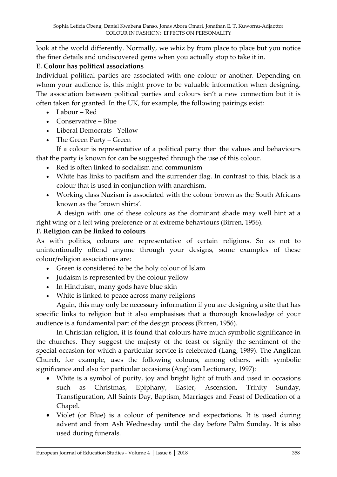look at the world differently. Normally, we whiz by from place to place but you notice the finer details and undiscovered gems when you actually stop to take it in.

#### **E. Colour has political associations**

Individual political parties are associated with one colour or another. Depending on whom your audience is, this might prove to be valuable information when designing. The association between political parties and colours isn't a new connection but it is often taken for granted. In the UK, for example, the following pairings exist:

- Labour **–** Red
- Conservative **–** Blue
- Liberal Democrats– Yellow
- The Green Party Green

If a colour is representative of a political party then the values and behaviours that the party is known for can be suggested through the use of this colour.

- Red is often linked to socialism and communism
- White has links to pacifism and the surrender flag. In contrast to this, black is a colour that is used in conjunction with anarchism.
- Working class Nazism is associated with the colour brown as the South Africans known as the 'brown shirts'.

A design with one of these colours as the dominant shade may well hint at a right wing or a left wing preference or at extreme behaviours (Birren, 1956).

# **F. Religion can be linked to colours**

As with politics, colours are representative of certain religions. So as not to unintentionally offend anyone through your designs, some examples of these colour/religion associations are:

- Green is considered to be the holy colour of Islam
- Judaism is represented by the colour yellow
- In Hinduism, many gods have blue skin
- White is linked to peace across many religions

Again, this may only be necessary information if you are designing a site that has specific links to religion but it also emphasises that a thorough knowledge of your audience is a fundamental part of the design process (Birren, 1956).

In Christian religion, it is found that colours have much symbolic significance in the churches. They suggest the majesty of the feast or signify the sentiment of the special occasion for which a particular service is celebrated (Lang, 1989). The Anglican Church, for example, uses the following colours, among others, with symbolic significance and also for particular occasions (Anglican Lectionary, 1997):

- White is a symbol of purity, joy and bright light of truth and used in occasions such as Christmas, Epiphany, Easter, Ascension, Trinity Sunday, Transfiguration, All Saints Day, Baptism, Marriages and Feast of Dedication of a Chapel.
- Violet (or Blue) is a colour of penitence and expectations. It is used during advent and from Ash Wednesday until the day before Palm Sunday. It is also used during funerals.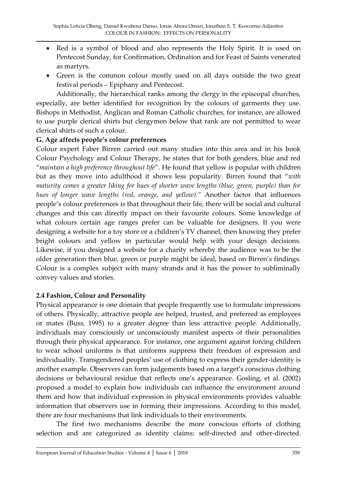- Red is a symbol of blood and also represents the Holy Spirit. It is used on Pentecost Sunday, for Confirmation, Ordination and for Feast of Saints venerated as martyrs.
- Green is the common colour mostly used on all days outside the two great festival periods – Epiphany and Pentecost.

Additionally, the hierarchical ranks among the clergy in the episcopal churches, especially, are better identified for recognition by the colours of garments they use. Bishops in Methodist, Anglican and Roman Catholic churches, for instance, are allowed to use purple clerical shirts but clergymen below that rank are not permitted to wear clerical shirts of such a colour.

#### **G. Age affects people's colour preferences**

Colour expert Faber Birren carried out many studies into this area and in his book Colour Psychology and Colour Therapy, he states that for both genders, blue and red '*maintain a high preference throughout life*'. He found that yellow is popular with children but as they move into adulthood it shows less popularity. Birren found that '*with maturity comes a greater liking for hues of shorter wave lengths (blue, green, purple) than for hues of longer wave lengths (red, orange, and yellow)."* Another factor that influences people's colour preferences is that throughout their life, there will be social and cultural changes and this can directly impact on their favourite colours. Some knowledge of what colours certain age ranges prefer can be valuable for designers. If you were designing a website for a toy store or a children's TV channel, then knowing they prefer bright colours and yellow in particular would help with your design decisions. Likewise, if you designed a website for a charity whereby the audience was to be the older generation then blue, green or purple might be ideal, based on Birren's findings. Colour is a complex subject with many strands and it has the power to subliminally convey values and stories.

#### **2.4 Fashion, Colour and Personality**

Physical appearance is one domain that people frequently use to formulate impressions of others. Physically, attractive people are helped, trusted, and preferred as employees or mates (Buss, 1995) to a greater degree than less attractive people. Additionally, individuals may consciously or unconsciously manifest aspects of their personalities through their physical appearance. For instance, one argument against forcing children to wear school uniforms is that uniforms suppress their freedom of expression and individuality. Transgendered peoples' use of clothing to express their gender-identity is another example. Observers can form judgements based on a target's conscious clothing decisions or behavioural residue that reflects one's appearance. Gosling, et al. (2002) proposed a model to explain how individuals can influence the environment around them and how that individual expression in physical environments provides valuable information that observers use in forming their impressions. According to this model, there are four mechanisms that link individuals to their environments.

The first two mechanisms describe the more conscious efforts of clothing selection and are categorized as identity claims: self-directed and other-directed.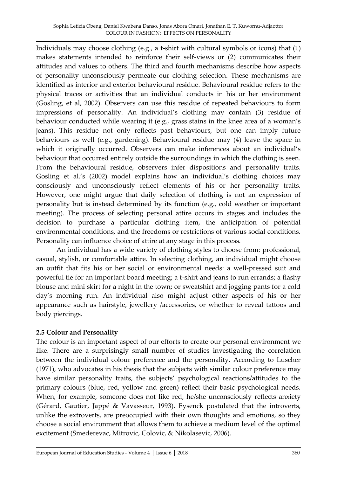Individuals may choose clothing (e.g., a t-shirt with cultural symbols or icons) that (1) makes statements intended to reinforce their self-views or (2) communicates their attitudes and values to others. The third and fourth mechanisms describe how aspects of personality unconsciously permeate our clothing selection. These mechanisms are identified as interior and exterior behavioural residue. Behavioural residue refers to the physical traces or activities that an individual conducts in his or her environment (Gosling, et al, 2002). Observers can use this residue of repeated behaviours to form impressions of personality. An individual's clothing may contain (3) residue of behaviour conducted while wearing it (e.g., grass stains in the knee area of a woman's jeans). This residue not only reflects past behaviours, but one can imply future behaviours as well (e.g., gardening). Behavioural residue may (4) leave the space in which it originally occurred. Observers can make inferences about an individual's behaviour that occurred entirely outside the surroundings in which the clothing is seen. From the behavioural residue, observers infer dispositions and personality traits. Gosling et al.'s (2002) model explains how an individual's clothing choices may consciously and unconsciously reflect elements of his or her personality traits. However, one might argue that daily selection of clothing is not an expression of personality but is instead determined by its function (e.g., cold weather or important meeting). The process of selecting personal attire occurs in stages and includes the decision to purchase a particular clothing item, the anticipation of potential environmental conditions, and the freedoms or restrictions of various social conditions. Personality can influence choice of attire at any stage in this process.

An individual has a wide variety of clothing styles to choose from: professional, casual, stylish, or comfortable attire. In selecting clothing, an individual might choose an outfit that fits his or her social or environmental needs: a well-pressed suit and powerful tie for an important board meeting; a t-shirt and jeans to run errands; a flashy blouse and mini skirt for a night in the town; or sweatshirt and jogging pants for a cold day's morning run. An individual also might adjust other aspects of his or her appearance such as hairstyle, jewellery /accessories, or whether to reveal tattoos and body piercings.

# **2.5 Colour and Personality**

The colour is an important aspect of our efforts to create our personal environment we like. There are a surprisingly small number of studies investigating the correlation between the individual colour preference and the personality. According to Luscher (1971), who advocates in his thesis that the subjects with similar colour preference may have similar personality traits, the subjects' psychological reactions/attitudes to the primary colours (blue, red, yellow and green) reflect their basic psychological needs. When, for example, someone does not like red, he/she unconsciously reflects anxiety (Gérard, Gautier, Jappé & Vavasseur, 1993). Eysenck postulated that the introverts, unlike the extroverts, are preoccupied with their own thoughts and emotions, so they choose a social environment that allows them to achieve a medium level of the optimal excitement (Smederevac, Mitrovic, Colovic, & Nikolasevic, 2006).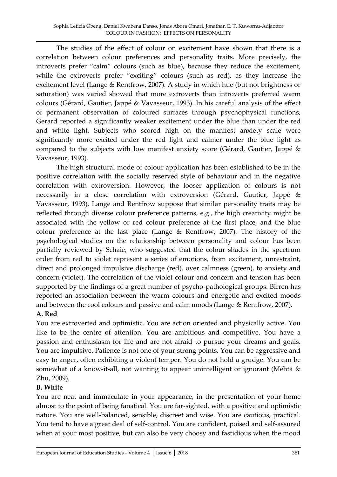The studies of the effect of colour on excitement have shown that there is a correlation between colour preferences and personality traits. More precisely, the introverts prefer 'calm' colours (such as blue), because they reduce the excitement, while the extroverts prefer 'exciting' colours (such as red), as they increase the excitement level (Lange & Rentfrow, 2007). A study in which hue (but not brightness or saturation) was varied showed that more extroverts than introverts preferred warm colours (Gérard, Gautier, Jappé & Vavasseur, 1993). In his careful analysis of the effect of permanent observation of coloured surfaces through psychophysical functions, Gerard reported a significantly weaker excitement under the blue than under the red and white light. Subjects who scored high on the manifest anxiety scale were significantly more excited under the red light and calmer under the blue light as compared to the subjects with low manifest anxiety score (Gérard, Gautier, Jappé & Vavasseur, 1993).

The high structural mode of colour application has been established to be in the positive correlation with the socially reserved style of behaviour and in the negative correlation with extroversion. However, the looser application of colours is not necessarily in a close correlation with extroversion (Gérard, Gautier, Jappé & Vavasseur, 1993). Lange and Rentfrow suppose that similar personality traits may be reflected through diverse colour preference patterns, e.g., the high creativity might be associated with the yellow or red colour preference at the first place, and the blue colour preference at the last place (Lange & Rentfrow, 2007). The history of the psychological studies on the relationship between personality and colour has been partially reviewed by Schaie, who suggested that the colour shades in the spectrum order from red to violet represent a series of emotions, from excitement, unrestraint, direct and prolonged impulsive discharge (red), over calmness (green), to anxiety and concern (violet). The correlation of the violet colour and concern and tension has been supported by the findings of a great number of psycho-pathological groups. Birren has reported an association between the warm colours and energetic and excited moods and between the cool colours and passive and calm moods (Lange & Rentfrow, 2007).

# **A. Red**

You are extroverted and optimistic. You are action oriented and physically active. You like to be the centre of attention. You are ambitious and competitive. You have a passion and enthusiasm for life and are not afraid to pursue your dreams and goals. You are impulsive. Patience is not one of your strong points. You can be aggressive and easy to anger, often exhibiting a violent temper. You do not hold a grudge. You can be somewhat of a know-it-all, not wanting to appear unintelligent or ignorant (Mehta & Zhu, 2009).

# **B. White**

You are neat and immaculate in your appearance, in the presentation of your home almost to the point of being fanatical. You are far-sighted, with a positive and optimistic nature. You are well-balanced, sensible, discreet and wise. You are cautious, practical. You tend to have a great deal of self-control. You are confident, poised and self-assured when at your most positive, but can also be very choosy and fastidious when the mood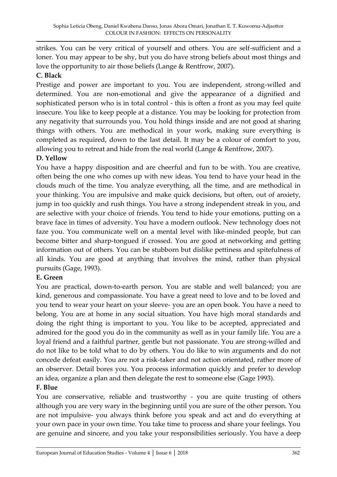strikes. You can be very critical of yourself and others. You are self-sufficient and a loner. You may appear to be shy, but you do have strong beliefs about most things and love the opportunity to air those beliefs (Lange & Rentfrow, 2007).

# **C. Black**

Prestige and power are important to you. You are independent, strong-willed and determined. You are non-emotional and give the appearance of a dignified and sophisticated person who is in total control - this is often a front as you may feel quite insecure. You like to keep people at a distance. You may be looking for protection from any negativity that surrounds you. You hold things inside and are not good at sharing things with others. You are methodical in your work, making sure everything is completed as required, down to the last detail. It may be a colour of comfort to you, allowing you to retreat and hide from the real world (Lange & Rentfrow, 2007).

# **D. Yellow**

You have a happy disposition and are cheerful and fun to be with. You are creative, often being the one who comes up with new ideas. You tend to have your head in the clouds much of the time. You analyze everything, all the time, and are methodical in your thinking. You are impulsive and make quick decisions, but often, out of anxiety, jump in too quickly and rush things. You have a strong independent streak in you, and are selective with your choice of friends. You tend to hide your emotions, putting on a brave face in times of adversity. You have a modern outlook. New technology does not faze you. You communicate well on a mental level with like-minded people, but can become bitter and sharp-tongued if crossed. You are good at networking and getting information out of others. You can be stubborn but dislike pettiness and spitefulness of all kinds. You are good at anything that involves the mind, rather than physical pursuits (Gage, 1993).

# **E. Green**

You are practical, down-to-earth person. You are stable and well balanced; you are kind, generous and compassionate. You have a great need to love and to be loved and you tend to wear your heart on your sleeve- you are an open book. You have a need to belong. You are at home in any social situation. You have high moral standards and doing the right thing is important to you. You like to be accepted, appreciated and admired for the good you do in the community as well as in your family life. You are a loyal friend and a faithful partner, gentle but not passionate. You are strong-willed and do not like to be told what to do by others. You do like to win arguments and do not concede defeat easily. You are not a risk-taker and not action orientated, rather more of an observer. Detail bores you. You process information quickly and prefer to develop an idea, organize a plan and then delegate the rest to someone else (Gage 1993).

# **F. Blue**

You are conservative, reliable and trustworthy - you are quite trusting of others although you are very wary in the beginning until you are sure of the other person. You are not impulsive- you always think before you speak and act and do everything at your own pace in your own time. You take time to process and share your feelings. You are genuine and sincere, and you take your responsibilities seriously. You have a deep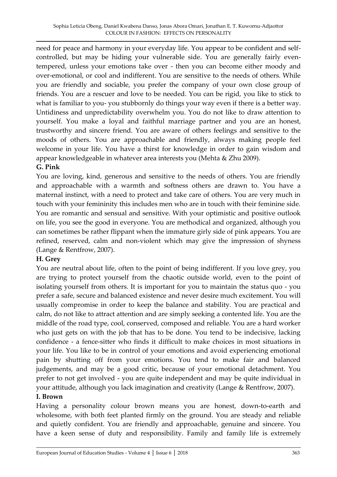need for peace and harmony in your everyday life. You appear to be confident and selfcontrolled, but may be hiding your vulnerable side. You are generally fairly eventempered, unless your emotions take over - then you can become either moody and over-emotional, or cool and indifferent. You are sensitive to the needs of others. While you are friendly and sociable, you prefer the company of your own close group of friends. You are a rescuer and love to be needed. You can be rigid, you like to stick to what is familiar to you- you stubbornly do things your way even if there is a better way. Untidiness and unpredictability overwhelm you. You do not like to draw attention to yourself. You make a loyal and faithful marriage partner and you are an honest, trustworthy and sincere friend. You are aware of others feelings and sensitive to the moods of others. You are approachable and friendly, always making people feel welcome in your life. You have a thirst for knowledge in order to gain wisdom and appear knowledgeable in whatever area interests you (Mehta & Zhu 2009).

# **G. Pink**

You are loving, kind, generous and sensitive to the needs of others. You are friendly and approachable with a warmth and softness others are drawn to. You have a maternal instinct, with a need to protect and take care of others. You are very much in touch with your femininity this includes men who are in touch with their feminine side. You are romantic and sensual and sensitive. With your optimistic and positive outlook on life, you see the good in everyone. You are methodical and organized, although you can sometimes be rather flippant when the immature girly side of pink appears. You are refined, reserved, calm and non-violent which may give the impression of shyness (Lange & Rentfrow, 2007).

# **H. Grey**

You are neutral about life, often to the point of being indifferent. If you love grey, you are trying to protect yourself from the chaotic outside world, even to the point of isolating yourself from others. It is important for you to maintain the status quo - you prefer a safe, secure and balanced existence and never desire much excitement. You will usually compromise in order to keep the balance and stability. You are practical and calm, do not like to attract attention and are simply seeking a contented life. You are the middle of the road type, cool, conserved, composed and reliable. You are a hard worker who just gets on with the job that has to be done. You tend to be indecisive, lacking confidence - a fence-sitter who finds it difficult to make choices in most situations in your life. You like to be in control of your emotions and avoid experiencing emotional pain by shutting off from your emotions. You tend to make fair and balanced judgements, and may be a good critic, because of your emotional detachment. You prefer to not get involved - you are quite independent and may be quite individual in your attitude, although you lack imagination and creativity (Lange & Rentfrow, 2007).

# **I. Brown**

Having a personality colour brown means you are honest, down-to-earth and wholesome, with both feet planted firmly on the ground. You are steady and reliable and quietly confident. You are friendly and approachable, genuine and sincere. You have a keen sense of duty and responsibility. Family and family life is extremely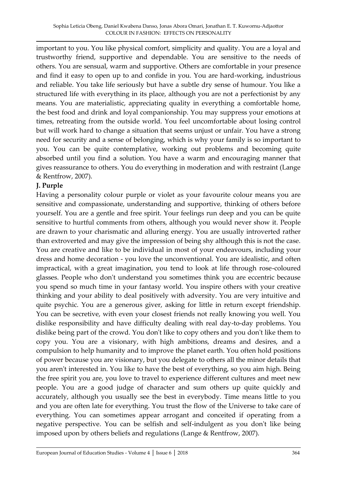important to you. You like physical comfort, simplicity and quality. You are a loyal and trustworthy friend, supportive and dependable. You are sensitive to the needs of others. You are sensual, warm and supportive. Others are comfortable in your presence and find it easy to open up to and confide in you. You are hard-working, industrious and reliable. You take life seriously but have a subtle dry sense of humour. You like a structured life with everything in its place, although you are not a perfectionist by any means. You are materialistic, appreciating quality in everything a comfortable home, the best food and drink and loyal companionship. You may suppress your emotions at times, retreating from the outside world. You feel uncomfortable about losing control but will work hard to change a situation that seems unjust or unfair. You have a strong need for security and a sense of belonging, which is why your family is so important to you. You can be quite contemplative, working out problems and becoming quite absorbed until you find a solution. You have a warm and encouraging manner that gives reassurance to others. You do everything in moderation and with restraint (Lange & Rentfrow, 2007).

#### **J. Purple**

Having a personality colour purple or violet as your favourite colour means you are sensitive and compassionate, understanding and supportive, thinking of others before yourself. You are a gentle and free spirit. Your feelings run deep and you can be quite sensitive to hurtful comments from others, although you would never show it. People are drawn to your charismatic and alluring energy. You are usually introverted rather than extroverted and may give the impression of being shy although this is not the case. You are creative and like to be individual in most of your endeavours, including your dress and home decoration - you love the unconventional. You are idealistic, and often impractical, with a great imagination, you tend to look at life through rose-coloured glasses. People who don't understand you sometimes think you are eccentric because you spend so much time in your fantasy world. You inspire others with your creative thinking and your ability to deal positively with adversity. You are very intuitive and quite psychic. You are a generous giver, asking for little in return except friendship. You can be secretive, with even your closest friends not really knowing you well. You dislike responsibility and have difficulty dealing with real day-to-day problems. You dislike being part of the crowd. You don't like to copy others and you don't like them to copy you. You are a visionary, with high ambitions, dreams and desires, and a compulsion to help humanity and to improve the planet earth. You often hold positions of power because you are visionary, but you delegate to others all the minor details that you aren't interested in. You like to have the best of everything, so you aim high. Being the free spirit you are, you love to travel to experience different cultures and meet new people. You are a good judge of character and sum others up quite quickly and accurately, although you usually see the best in everybody. Time means little to you and you are often late for everything. You trust the flow of the Universe to take care of everything. You can sometimes appear arrogant and conceited if operating from a negative perspective. You can be selfish and self-indulgent as you don't like being imposed upon by others beliefs and regulations (Lange & Rentfrow, 2007).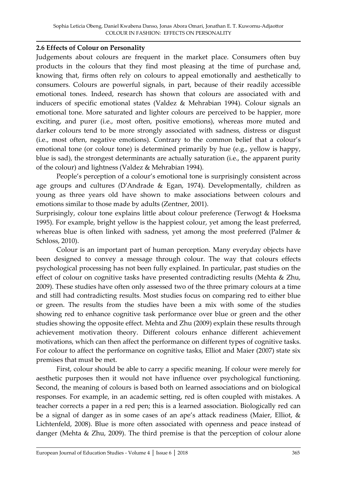#### **2.6 Effects of Colour on Personality**

Judgements about colours are frequent in the market place. Consumers often buy products in the colours that they find most pleasing at the time of purchase and, knowing that, firms often rely on colours to appeal emotionally and aesthetically to consumers. Colours are powerful signals, in part, because of their readily accessible emotional tones. Indeed, research has shown that colours are associated with and inducers of specific emotional states (Valdez & Mehrabian 1994). Colour signals an emotional tone. More saturated and lighter colours are perceived to be happier, more exciting, and purer (i.e., most often, positive emotions), whereas more muted and darker colours tend to be more strongly associated with sadness, distress or disgust (i.e., most often, negative emotions). Contrary to the common belief that a colour's emotional tone (or colour tone) is determined primarily by hue (e.g., yellow is happy, blue is sad), the strongest determinants are actually saturation (i.e., the apparent purity of the colour) and lightness (Valdez & Mehrabian 1994).

People's perception of a colour's emotional tone is surprisingly consistent across age groups and cultures (D'Andrade & Egan, 1974). Developmentally, children as young as three years old have shown to make associations between colours and emotions similar to those made by adults (Zentner, 2001).

Surprisingly, colour tone explains little about colour preference (Terwogt & Hoeksma 1995). For example, bright yellow is the happiest colour, yet among the least preferred, whereas blue is often linked with sadness, yet among the most preferred (Palmer & Schloss, 2010).

Colour is an important part of human perception. Many everyday objects have been designed to convey a message through colour. The way that colours effects psychological processing has not been fully explained. In particular, past studies on the effect of colour on cognitive tasks have presented contradicting results (Mehta & Zhu, 2009). These studies have often only assessed two of the three primary colours at a time and still had contradicting results. Most studies focus on comparing red to either blue or green. The results from the studies have been a mix with some of the studies showing red to enhance cognitive task performance over blue or green and the other studies showing the opposite effect. Mehta and Zhu (2009) explain these results through achievement motivation theory. Different colours enhance different achievement motivations, which can then affect the performance on different types of cognitive tasks. For colour to affect the performance on cognitive tasks, Elliot and Maier (2007) state six premises that must be met.

First, colour should be able to carry a specific meaning. If colour were merely for aesthetic purposes then it would not have influence over psychological functioning. Second, the meaning of colours is based both on learned associations and on biological responses. For example, in an academic setting, red is often coupled with mistakes. A teacher corrects a paper in a red pen; this is a learned association. Biologically red can be a signal of danger as in some cases of an ape's attack readiness (Maier, Elliot, & Lichtenfeld, 2008). Blue is more often associated with openness and peace instead of danger (Mehta & Zhu, 2009). The third premise is that the perception of colour alone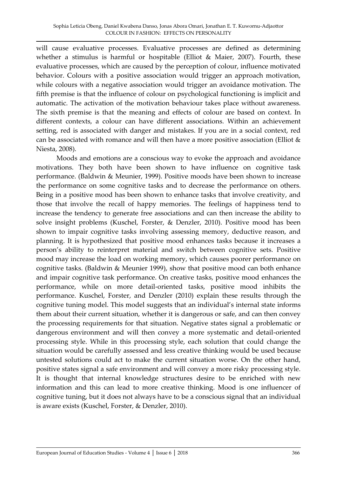will cause evaluative processes. Evaluative processes are defined as determining whether a stimulus is harmful or hospitable (Elliot & Maier, 2007). Fourth, these evaluative processes, which are caused by the perception of colour, influence motivated behavior. Colours with a positive association would trigger an approach motivation, while colours with a negative association would trigger an avoidance motivation. The fifth premise is that the influence of colour on psychological functioning is implicit and automatic. The activation of the motivation behaviour takes place without awareness. The sixth premise is that the meaning and effects of colour are based on context. In different contexts, a colour can have different associations. Within an achievement setting, red is associated with danger and mistakes. If you are in a social context, red can be associated with romance and will then have a more positive association (Elliot & Niesta, 2008).

Moods and emotions are a conscious way to evoke the approach and avoidance motivations. They both have been shown to have influence on cognitive task performance. (Baldwin & Meunier, 1999). Positive moods have been shown to increase the performance on some cognitive tasks and to decrease the performance on others. Being in a positive mood has been shown to enhance tasks that involve creativity, and those that involve the recall of happy memories. The feelings of happiness tend to increase the tendency to generate free associations and can then increase the ability to solve insight problems (Kuschel, Forster, & Denzler, 2010). Positive mood has been shown to impair cognitive tasks involving assessing memory, deductive reason, and planning. It is hypothesized that positive mood enhances tasks because it increases a person's ability to reinterpret material and switch between cognitive sets. Positive mood may increase the load on working memory, which causes poorer performance on cognitive tasks. (Baldwin & Meunier 1999), show that positive mood can both enhance and impair cognitive task performance. On creative tasks, positive mood enhances the performance, while on more detail-oriented tasks, positive mood inhibits the performance. Kuschel, Forster, and Denzler (2010) explain these results through the cognitive tuning model. This model suggests that an individual's internal state informs them about their current situation, whether it is dangerous or safe, and can then convey the processing requirements for that situation. Negative states signal a problematic or dangerous environment and will then convey a more systematic and detail-oriented processing style. While in this processing style, each solution that could change the situation would be carefully assessed and less creative thinking would be used because untested solutions could act to make the current situation worse. On the other hand, positive states signal a safe environment and will convey a more risky processing style. It is thought that internal knowledge structures desire to be enriched with new information and this can lead to more creative thinking. Mood is one influencer of cognitive tuning, but it does not always have to be a conscious signal that an individual is aware exists (Kuschel, Forster, & Denzler, 2010).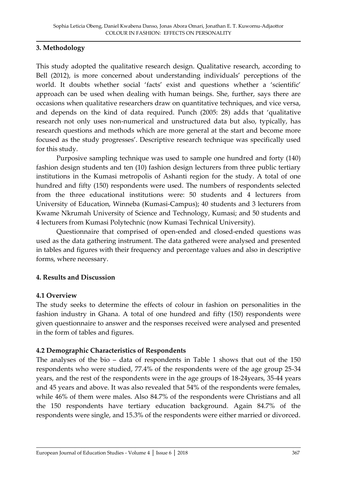#### **3. Methodology**

This study adopted the qualitative research design. Qualitative research, according to Bell (2012), is more concerned about understanding individuals' perceptions of the world. It doubts whether social 'facts' exist and questions whether a 'scientific' approach can be used when dealing with human beings. She, further, says there are occasions when qualitative researchers draw on quantitative techniques, and vice versa, and depends on the kind of data required. Punch (2005: 28) adds that 'qualitative research not only uses non-numerical and unstructured data but also, typically, has research questions and methods which are more general at the start and become more focused as the study progresses'. Descriptive research technique was specifically used for this study.

Purposive sampling technique was used to sample one hundred and forty (140) fashion design students and ten (10) fashion design lecturers from three public tertiary institutions in the Kumasi metropolis of Ashanti region for the study. A total of one hundred and fifty (150) respondents were used. The numbers of respondents selected from the three educational institutions were: 50 students and 4 lecturers from University of Education, Winneba (Kumasi-Campus); 40 students and 3 lecturers from Kwame Nkrumah University of Science and Technology, Kumasi; and 50 students and 4 lecturers from Kumasi Polytechnic (now Kumasi Technical University).

Questionnaire that comprised of open-ended and closed-ended questions was used as the data gathering instrument. The data gathered were analysed and presented in tables and figures with their frequency and percentage values and also in descriptive forms, where necessary.

#### **4. Results and Discussion**

#### **4.1 Overview**

The study seeks to determine the effects of colour in fashion on personalities in the fashion industry in Ghana. A total of one hundred and fifty (150) respondents were given questionnaire to answer and the responses received were analysed and presented in the form of tables and figures.

#### **4.2 Demographic Characteristics of Respondents**

The analyses of the bio – data of respondents in Table 1 shows that out of the 150 respondents who were studied, 77.4% of the respondents were of the age group 25-34 years, and the rest of the respondents were in the age groups of 18-24years, 35-44 years and 45 years and above. It was also revealed that 54% of the respondents were females, while 46% of them were males. Also 84.7% of the respondents were Christians and all the 150 respondents have tertiary education background. Again 84.7% of the respondents were single, and 15.3% of the respondents were either married or divorced.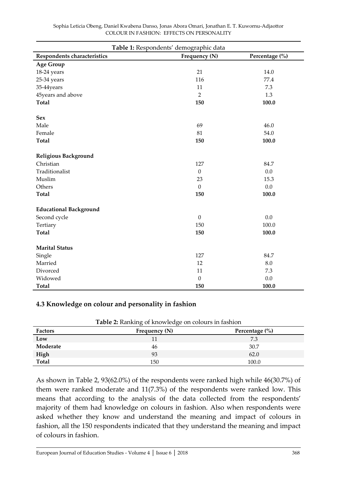| Table 1: Respondents' demographic data |                  |                |  |
|----------------------------------------|------------------|----------------|--|
| Respondents characteristics            | Frequency (N)    | Percentage (%) |  |
| <b>Age Group</b>                       |                  |                |  |
| 18-24 years                            | 21               | 14.0           |  |
| 25-34 years                            | 116              | 77.4           |  |
| 35-44years                             | 11               | 7.3            |  |
| 45years and above                      | $\overline{2}$   | 1.3            |  |
| <b>Total</b>                           | 150              | 100.0          |  |
| <b>Sex</b>                             |                  |                |  |
| Male                                   | 69               | 46.0           |  |
| Female                                 | 81               | 54.0           |  |
| <b>Total</b>                           | 150              | 100.0          |  |
| Religious Background                   |                  |                |  |
| Christian                              | 127              | 84.7           |  |
| Traditionalist                         | $\mathbf{0}$     | 0.0            |  |
| Muslim                                 | 23               | 15.3           |  |
| Others                                 | $\theta$         | 0.0            |  |
| <b>Total</b>                           | 150              | 100.0          |  |
| <b>Educational Background</b>          |                  |                |  |
| Second cycle                           | $\boldsymbol{0}$ | 0.0            |  |
| Tertiary                               | 150              | 100.0          |  |
| <b>Total</b>                           | 150              | 100.0          |  |
| <b>Marital Status</b>                  |                  |                |  |
| Single                                 | 127              | 84.7           |  |
| Married                                | 12               | 8.0            |  |
| Divorced                               | 11               | 7.3            |  |
| Widowed                                | $\mathbf{0}$     | 0.0            |  |
| <b>Total</b>                           | 150              | 100.0          |  |

#### **4.3 Knowledge on colour and personality in fashion**

| <b>Factors</b> | Frequency (N) | Percentage $(\% )$ |
|----------------|---------------|--------------------|
| Low            |               | 7.3                |
| Moderate       | 46            | 30.7               |
| High           | 93            | 62.0               |
| Total          | 150           | 100.0              |

**Table 2:** Ranking of knowledge on colours in fashion

As shown in Table 2, 93(62.0%) of the respondents were ranked high while 46(30.7%) of them were ranked moderate and 11(7.3%) of the respondents were ranked low. This means that according to the analysis of the data collected from the respondents' majority of them had knowledge on colours in fashion. Also when respondents were asked whether they know and understand the meaning and impact of colours in fashion, all the 150 respondents indicated that they understand the meaning and impact of colours in fashion.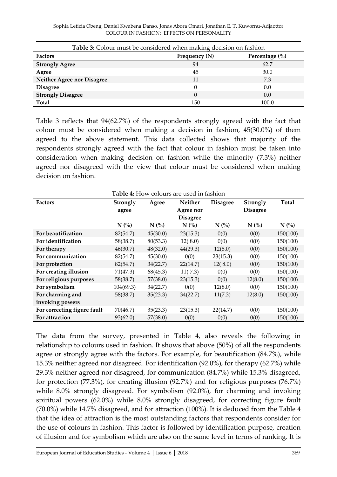| <b>Table 3:</b> Colour must be considered when making decision on fashion |               |                    |  |
|---------------------------------------------------------------------------|---------------|--------------------|--|
| <b>Factors</b>                                                            | Frequency (N) | Percentage $(\% )$ |  |
| <b>Strongly Agree</b>                                                     | 94            | 62.7               |  |
| Agree                                                                     | 45            | 30.0               |  |
| <b>Neither Agree nor Disagree</b>                                         | 11            | 7.3                |  |
| <b>Disagree</b>                                                           |               | 0.0                |  |
| <b>Strongly Disagree</b>                                                  | $\Omega$      | 0.0                |  |
| Total                                                                     | 150           | 100.0              |  |

Table 3 reflects that 94(62.7%) of the respondents strongly agreed with the fact that colour must be considered when making a decision in fashion, 45(30.0%) of them agreed to the above statement. This data collected shows that majority of the respondents strongly agreed with the fact that colour in fashion must be taken into consideration when making decision on fashion while the minority (7.3%) neither agreed nor disagreed with the view that colour must be considered when making decision on fashion.

| <b>Table 4:</b> How colours are used in fashion |           |          |                 |                 |                 |          |
|-------------------------------------------------|-----------|----------|-----------------|-----------------|-----------------|----------|
| <b>Factors</b>                                  | Strongly  | Agree    | <b>Neither</b>  | <b>Disagree</b> | Strongly        | Total    |
|                                                 | agree     |          | Agree nor       |                 | <b>Disagree</b> |          |
|                                                 |           |          | <b>Disagree</b> |                 |                 |          |
|                                                 | $N$ (%)   | N(%      | N(%             | $N$ (%)         | N(%             | N(%      |
| For beautification                              | 82(54.7)  | 45(30.0) | 23(15.3)        | 0(0)            | 0(0)            | 150(100) |
| For identification                              | 58(38.7)  | 80(53.3) | 12(8.0)         | 0(0)            | 0(0)            | 150(100) |
| For therapy                                     | 46(30.7)  | 48(32.0) | 44(29.3)        | 12(8.0)         | 0(0)            | 150(100) |
| For communication                               | 82(54.7)  | 45(30.0) | 0(0)            | 23(15.3)        | 0(0)            | 150(100) |
| For protection                                  | 82(54.7)  | 34(22.7) | 22(14.7)        | 12(8.0)         | 0(0)            | 150(100) |
| For creating illusion                           | 71(47.3)  | 68(45.3) | 11(7.3)         | 0(0)            | 0(0)            | 150(100) |
| For religious purposes                          | 58(38.7)  | 57(38.0) | 23(15.3)        | 0(0)            | 12(8.0)         | 150(100) |
| For symbolism                                   | 104(69.3) | 34(22.7) | 0(0)            | 12(8.0)         | 0(0)            | 150(100) |
| For charming and                                | 58(38.7)  | 35(23.3) | 34(22.7)        | 11(7.3)         | 12(8.0)         | 150(100) |
| invoking powers                                 |           |          |                 |                 |                 |          |
| For correcting figure fault                     | 70(46.7)  | 35(23.3) | 23(15.3)        | 22(14.7)        | 0(0)            | 150(100) |
| For attraction                                  | 93(62.0)  | 57(38.0) | 0(0)            | 0(0)            | 0(0)            | 150(100) |

The data from the survey, presented in Table 4, also reveals the following in relationship to colours used in fashion. It shows that above (50%) of all the respondents agree or strongly agree with the factors. For example, for beautification (84.7%), while 15.3% neither agreed nor disagreed. For identification (92.0%), for therapy (62.7%) while 29.3% neither agreed nor disagreed, for communication (84.7%) while 15.3% disagreed, for protection (77.3%), for creating illusion (92.7%) and for religious purposes (76.7%) while 8.0% strongly disagreed. For symbolism (92.0%), for charming and invoking spiritual powers (62.0%) while 8.0% strongly disagreed, for correcting figure fault (70.0%) while 14.7% disagreed, and for attraction (100%). It is deduced from the Table 4 that the idea of attraction is the most outstanding factors that respondents consider for the use of colours in fashion. This factor is followed by identification purpose, creation of illusion and for symbolism which are also on the same level in terms of ranking. It is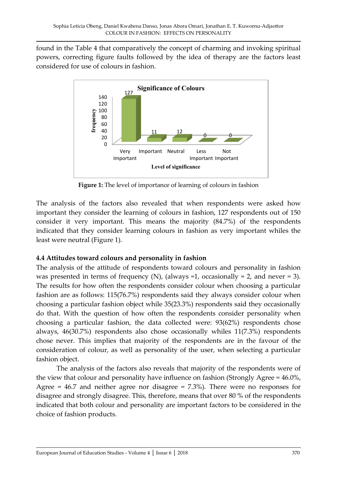found in the Table 4 that comparatively the concept of charming and invoking spiritual powers, correcting figure faults followed by the idea of therapy are the factors least considered for use of colours in fashion.



**Figure 1:** The level of importance of learning of colours in fashion

The analysis of the factors also revealed that when respondents were asked how important they consider the learning of colours in fashion, 127 respondents out of 150 consider it very important. This means the majority (84.7%) of the respondents indicated that they consider learning colours in fashion as very important whiles the least were neutral (Figure 1).

# **4.4 Attitudes toward colours and personality in fashion**

The analysis of the attitude of respondents toward colours and personality in fashion was presented in terms of frequency (N), (always  $=1$ , occasionally  $= 2$ , and never  $= 3$ ). The results for how often the respondents consider colour when choosing a particular fashion are as follows: 115(76.7%) respondents said they always consider colour when choosing a particular fashion object while 35(23.3%) respondents said they occasionally do that. With the question of how often the respondents consider personality when choosing a particular fashion, the data collected were: 93(62%) respondents chose always, 46(30.7%) respondents also chose occasionally whiles 11(7.3%) respondents chose never. This implies that majority of the respondents are in the favour of the consideration of colour, as well as personality of the user, when selecting a particular fashion object.

The analysis of the factors also reveals that majority of the respondents were of the view that colour and personality have influence on fashion (Strongly Agree = 46.0%, Agree  $= 46.7$  and neither agree nor disagree  $= 7.3\%$ ). There were no responses for disagree and strongly disagree. This, therefore, means that over 80 % of the respondents indicated that both colour and personality are important factors to be considered in the choice of fashion products.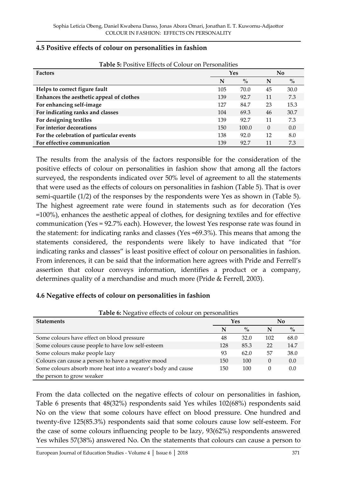| 4.5 Positive effects of colour on personalities in fashion |  |
|------------------------------------------------------------|--|
|------------------------------------------------------------|--|

| <b>Factors</b>                           | Yes |       | No       |      |
|------------------------------------------|-----|-------|----------|------|
|                                          | N   | $\%$  | N        | $\%$ |
| Helps to correct figure fault            | 105 | 70.0  | 45       | 30.0 |
| Enhances the aesthetic appeal of clothes | 139 | 92.7  | 11       | 7.3  |
| For enhancing self-image                 | 127 | 84.7  | 23       | 15.3 |
| For indicating ranks and classes         | 104 | 69.3  | 46       | 30.7 |
| For designing textiles                   | 139 | 92.7  | 11       | 7.3  |
| For interior decorations                 | 150 | 100.0 | $\Omega$ | 0.0  |
| For the celebration of particular events | 138 | 92.0  | 12       | 8.0  |
| For effective communication              | 139 | 92.7  |          | 7.3  |

**Table 5:** Positive Effects of Colour on Personalities

The results from the analysis of the factors responsible for the consideration of the positive effects of colour on personalities in fashion show that among all the factors surveyed, the respondents indicated over 50% level of agreement to all the statements that were used as the effects of colours on personalities in fashion (Table 5). That is over semi-quartile (1/2) of the responses by the respondents were Yes as shown in (Table 5). The highest agreement rate were found in statements such as for decoration (Yes =100%), enhances the aesthetic appeal of clothes, for designing textiles and for effective communication (Yes = 92.7% each). However, the lowest Yes response rate was found in the statement: for indicating ranks and classes (Yes =69.3%). This means that among the statements considered, the respondents were likely to have indicated that 'for indicating ranks and classes' is least positive effect of colour on personalities in fashion. From inferences, it can be said that the information here agrees with Pride and Ferrell's assertion that colour conveys information, identifies a product or a company, determines quality of a merchandise and much more (Pride & Ferrell, 2003).

#### **4.6 Negative effects of colour on personalities in fashion**

| <b>Tuble</b> 0. INCRUIVE CHECKS OF COLORE OIL PERSONALITIES  |     |      |          |      |  |
|--------------------------------------------------------------|-----|------|----------|------|--|
| <b>Statements</b>                                            | Yes |      |          | No   |  |
|                                                              | N   | $\%$ | N        | $\%$ |  |
| Some colours have effect on blood pressure                   | 48  | 32.0 | 102      | 68.0 |  |
| Some colours cause people to have low self-esteem            | 128 | 85.3 | 22       | 14.7 |  |
| Some colours make people lazy                                | 93  | 62.0 | 57       | 38.0 |  |
| Colours can cause a person to have a negative mood           | 150 | 100  | 0        | 0.0  |  |
| Some colours absorb more heat into a wearer's body and cause | 150 | 100  | $\theta$ | 0.0  |  |
| the person to grow weaker                                    |     |      |          |      |  |

**Table 6:** Negative effects of colour on personalities

From the data collected on the negative effects of colour on personalities in fashion, Table 6 presents that 48(32%) respondents said Yes whiles 102(68%) respondents said No on the view that some colours have effect on blood pressure. One hundred and twenty-five 125(85.3%) respondents said that some colours cause low self-esteem. For the case of some colours influencing people to be lazy, 93(62%) respondents answered Yes whiles 57(38%) answered No. On the statements that colours can cause a person to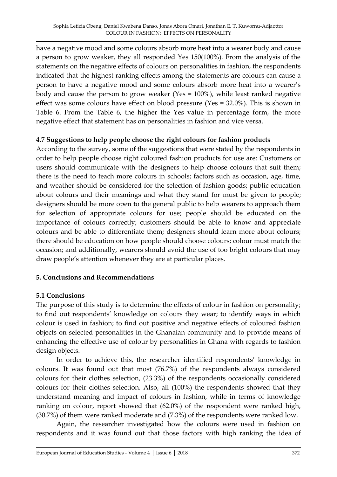have a negative mood and some colours absorb more heat into a wearer body and cause a person to grow weaker, they all responded Yes 150(100%). From the analysis of the statements on the negative effects of colours on personalities in fashion, the respondents indicated that the highest ranking effects among the statements are colours can cause a person to have a negative mood and some colours absorb more heat into a wearer's body and cause the person to grow weaker (Yes = 100%), while least ranked negative effect was some colours have effect on blood pressure (Yes = 32.0%). This is shown in Table 6. From the Table 6, the higher the Yes value in percentage form, the more negative effect that statement has on personalities in fashion and vice versa.

#### **4.7 Suggestions to help people choose the right colours for fashion products**

According to the survey, some of the suggestions that were stated by the respondents in order to help people choose right coloured fashion products for use are: Customers or users should communicate with the designers to help choose colours that suit them; there is the need to teach more colours in schools; factors such as occasion, age, time, and weather should be considered for the selection of fashion goods; public education about colours and their meanings and what they stand for must be given to people; designers should be more open to the general public to help wearers to approach them for selection of appropriate colours for use; people should be educated on the importance of colours correctly; customers should be able to know and appreciate colours and be able to differentiate them; designers should learn more about colours; there should be education on how people should choose colours; colour must match the occasion; and additionally, wearers should avoid the use of too bright colours that may draw people's attention whenever they are at particular places.

# **5. Conclusions and Recommendations**

# **5.1 Conclusions**

The purpose of this study is to determine the effects of colour in fashion on personality; to find out respondents' knowledge on colours they wear; to identify ways in which colour is used in fashion; to find out positive and negative effects of coloured fashion objects on selected personalities in the Ghanaian community and to provide means of enhancing the effective use of colour by personalities in Ghana with regards to fashion design objects.

In order to achieve this, the researcher identified respondents' knowledge in colours. It was found out that most (76.7%) of the respondents always considered colours for their clothes selection, (23.3%) of the respondents occasionally considered colours for their clothes selection. Also, all (100%) the respondents showed that they understand meaning and impact of colours in fashion, while in terms of knowledge ranking on colour, report showed that (62.0%) of the respondent were ranked high, (30.7%) of them were ranked moderate and (7.3%) of the respondents were ranked low.

Again, the researcher investigated how the colours were used in fashion on respondents and it was found out that those factors with high ranking the idea of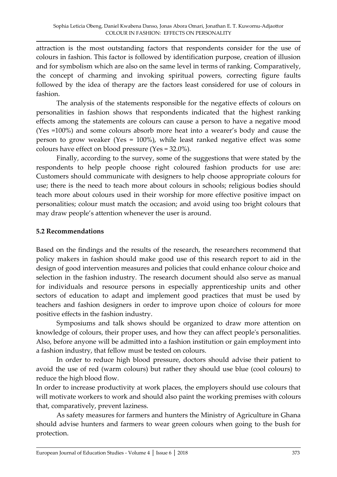attraction is the most outstanding factors that respondents consider for the use of colours in fashion. This factor is followed by identification purpose, creation of illusion and for symbolism which are also on the same level in terms of ranking. Comparatively, the concept of charming and invoking spiritual powers, correcting figure faults followed by the idea of therapy are the factors least considered for use of colours in fashion.

The analysis of the statements responsible for the negative effects of colours on personalities in fashion shows that respondents indicated that the highest ranking effects among the statements are colours can cause a person to have a negative mood (Yes =100%) and some colours absorb more heat into a wearer's body and cause the person to grow weaker (Yes = 100%), while least ranked negative effect was some colours have effect on blood pressure (Yes = 32.0%).

Finally, according to the survey, some of the suggestions that were stated by the respondents to help people choose right coloured fashion products for use are: Customers should communicate with designers to help choose appropriate colours for use; there is the need to teach more about colours in schools; religious bodies should teach more about colours used in their worship for more effective positive impact on personalities; colour must match the occasion; and avoid using too bright colours that may draw people's attention whenever the user is around.

#### **5.2 Recommendations**

Based on the findings and the results of the research, the researchers recommend that policy makers in fashion should make good use of this research report to aid in the design of good intervention measures and policies that could enhance colour choice and selection in the fashion industry. The research document should also serve as manual for individuals and resource persons in especially apprenticeship units and other sectors of education to adapt and implement good practices that must be used by teachers and fashion designers in order to improve upon choice of colours for more positive effects in the fashion industry.

Symposiums and talk shows should be organized to draw more attention on knowledge of colours, their proper uses, and how they can affect people's personalities. Also, before anyone will be admitted into a fashion institution or gain employment into a fashion industry, that fellow must be tested on colours.

In order to reduce high blood pressure, doctors should advise their patient to avoid the use of red (warm colours) but rather they should use blue (cool colours) to reduce the high blood flow.

In order to increase productivity at work places, the employers should use colours that will motivate workers to work and should also paint the working premises with colours that, comparatively, prevent laziness.

As safety measures for farmers and hunters the Ministry of Agriculture in Ghana should advise hunters and farmers to wear green colours when going to the bush for protection.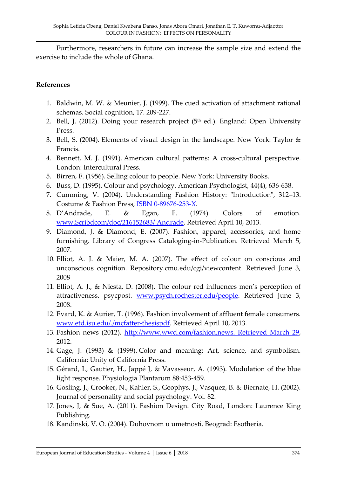Furthermore, researchers in future can increase the sample size and extend the exercise to include the whole of Ghana.

#### **References**

- 1. Baldwin, M. W. & Meunier, J. (1999). The cued activation of attachment rational schemas. Social cognition, 17. 209-227.
- 2. Bell, J. (2012). Doing your research project ( $5<sup>th</sup>$  ed.). England: Open University Press.
- 3. Bell, S. (2004). Elements of visual design in the landscape. New York: Taylor & Francis.
- 4. Bennett, M. J. (1991). American cultural patterns: A cross-cultural perspective. London: Intercultural Press.
- 5. Birren, F. (1956). Selling colour to people. New York: University Books.
- 6. Buss, D. (1995). Colour and psychology. American Psychologist, 44(4), 636-638.
- 7. Cumming, V. (2004). Understanding Fashion History: "Introduction", 312–13. Costume & Fashion Press, [ISBN 0-89676-253-X.](http://en.wikipedia.org/wiki/Special:BookSources/089676253X)
- 8. D'Andrade, E. & Egan, F. (1974). Colors of emotion. [www.Scribdcom/doc/216152683/ Andrade.](http://www.scribdcom/doc/216152683/%20Andrade) Retrieved April 10, 2013.
- 9. Diamond, J. & Diamond, E. (2007). Fashion, apparel, accessories, and home furnishing. Library of Congress Cataloging-in-Publication. Retrieved March 5, 2007.
- 10. Elliot, A. J. & Maier, M. A. (2007). The effect of colour on conscious and unconscious cognition. Repository.cmu.edu/cgi/viewcontent. Retrieved June 3, 2008
- 11. Elliot, A. J., & Niesta, D. (2008). The colour red influences men's perception of attractiveness. psycpost. [www.psych.rochester.edu/people.](http://www.psych.rochester.edu/people) Retrieved June 3, 2008.
- 12. Evard, K. & Aurier, T. (1996). Fashion involvement of affluent female consumers. [www.etd.isu.edu/./mcfatter-thesispdf.](http://www.etd.isu.edu/mcfatter-thesispdf) Retrieved April 10, 2013.
- 13. Fashion news (2012). [http://www.wwd.com/fashion.news. Retrieved March 29,](http://www.wwd.com/fashion.news.%20Retrieved%20March%2029) 2012.
- 14. Gage, J. (1993) & (1999). Color and meaning: Art, science, and symbolism. California: Unity of California Press.
- 15. Gérard, L, Gautier, H., Jappé J, & Vavasseur, A. (1993). Modulation of the blue light response. Physiologia Plantarum 88:453-459.
- 16. Gosling, J., Crooker, N., Kahler, S., Geophys, J., Vasquez, B. & Biernate, H. (2002). Journal of personality and social psychology. Vol. 82.
- 17. Jones, J, & Sue, A. (2011). Fashion Design. City Road, London: Laurence King Publishing.
- 18. Kandinski, V. O. (2004). Duhovnom u umetnosti. Beograd: Esotheria.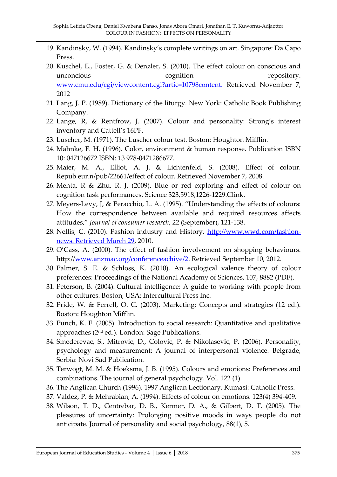- 19. Kandinsky, W. (1994). Kandinsky's complete writings on art. Singapore: Da Capo Press.
- 20. Kuschel, E., Foster, G. & Denzler, S. (2010). The effect colour on conscious and unconcious cognition repository. www.cmu.edu/cgi/viewcontent.cgi?artic=10798content. Retrieved November 7, 2012
- 21. Lang, J. P. (1989). Dictionary of the liturgy. New York: Catholic Book Publishing Company.
- 22. Lange, R, & Rentfrow, J. (2007). Colour and personality: Strong's interest inventory and Cattell's 16PF.
- 23. Luscher, M. (1971). The Luscher colour test. Boston: Houghton Mifflin.
- 24. Mahnke, F. H. (1996). Color, environment & human response. Publication ISBN 10: 047126672 ISBN: 13 978-0471286677.
- 25. Maier, M. A., Elliot, A. J. & Lichtenfeld, S. (2008). Effect of colour. Repub.eur.n/pub/22661/effect of colour. Retrieved November 7, 2008.
- 26. Mehta, R & Zhu, R. J. (2009). Blue or red exploring and effect of colour on cognition task performances. Science 323,5918,1226-1229.Clink.
- 27. Meyers-Levy, J, & Peracchio, L. A. (1995). 'Understanding the effects of colours: How the correspondence between available and required resources affects attitudes,' *Journal of consumer research*, 22 (September), 121-138.
- 28. Nellis, C. (2010). Fashion industry and History. [http://www.wwd.com/fashion](http://www.wwd.com/fashion-news.%20Retrieved%20March%2029)[news. Retrieved March 29,](http://www.wwd.com/fashion-news.%20Retrieved%20March%2029) 2010.
- 29. O'Cass, A. (2000). The effect of fashion involvement on shopping behaviours. http:/[/www.anzmac.org/conferenceachive/2.](http://www.anzmac.org/conferenceachive/2) Retrieved September 10, 2012.
- 30. Palmer, S. E. & Schloss, K. (2010). An ecological valence theory of colour preferences: Proceedings of the National Academy of Sciences, 107, 8882 (PDF).
- 31. Peterson, B. (2004). Cultural intelligence: A guide to working with people from other cultures. Boston, USA: Intercultural Press Inc.
- 32. Pride, W. & Ferrell, O. C. (2003). Marketing: Concepts and strategies (12 ed.). Boston: Houghton Mifflin.
- 33. Punch, K. F. (2005). Introduction to social research: Quantitative and qualitative approaches (2nd ed.). London: Sage Publications.
- 34. Smederevac, S., Mitrovic, D., Colovic, P. & Nikolasevic, P. (2006). Personality, psychology and measurement: A journal of interpersonal violence. Belgrade, Serbia: Novi Sad Publication.
- 35. Terwogt, M. M. & Hoeksma, J. B. (1995). Colours and emotions: Preferences and combinations. The journal of general psychology. Vol. 122 (1).
- 36. The Anglican Church (1996). 1997 Anglican Lectionary. Kumasi: Catholic Press.
- 37. Valdez, P. & Mehrabian, A. (1994). Effects of colour on emotions. 123(4) 394-409.
- 38. Wilson, T. D., Centrebar, D. B., Kermer, D. A., & Gilbert, D. T. (2005). The pleasures of uncertainty: Prolonging positive moods in ways people do not anticipate. Journal of personality and social psychology, 88(1), 5.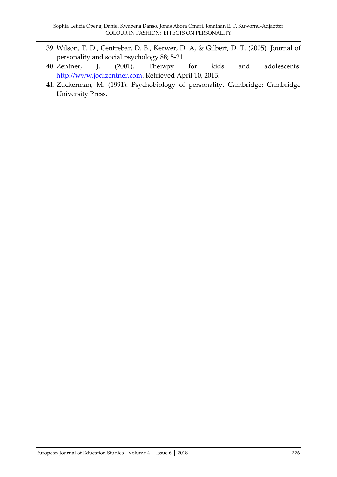- 39. Wilson, T. D., Centrebar, D. B., Kerwer, D. A, & Gilbert, D. T. (2005). Journal of personality and social psychology 88; 5-21.
- 40. Zentner, J. (2001). Therapy for kids and adolescents. [http://www.jodizentner.com.](http://www.jodizentner.com/) Retrieved April 10, 2013.
- 41. Zuckerman, M. (1991). Psychobiology of personality. Cambridge: Cambridge University Press.